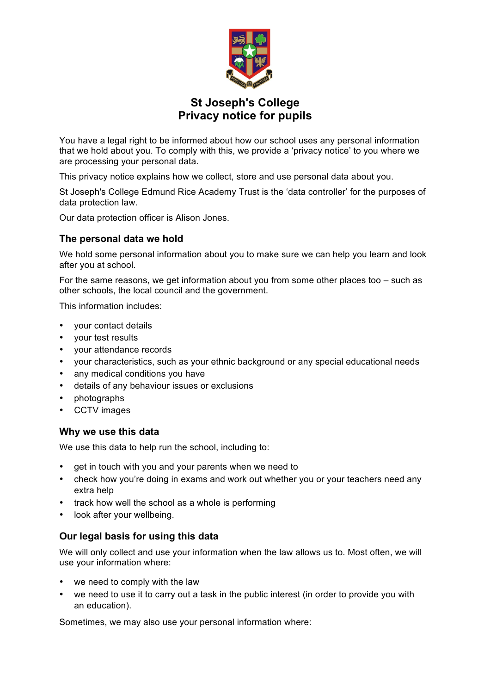

# **St Joseph's College Privacy notice for pupils**

You have a legal right to be informed about how our school uses any personal information that we hold about you. To comply with this, we provide a 'privacy notice' to you where we are processing your personal data.

This privacy notice explains how we collect, store and use personal data about you.

St Joseph's College Edmund Rice Academy Trust is the 'data controller' for the purposes of data protection law.

Our data protection officer is Alison Jones.

## **The personal data we hold**

We hold some personal information about you to make sure we can help you learn and look after you at school.

For the same reasons, we get information about you from some other places too – such as other schools, the local council and the government.

This information includes:

- your contact details
- your test results
- your attendance records
- your characteristics, such as your ethnic background or any special educational needs
- any medical conditions you have
- details of any behaviour issues or exclusions
- photographs
- CCTV images

#### **Why we use this data**

We use this data to help run the school, including to:

- get in touch with you and your parents when we need to
- check how you're doing in exams and work out whether you or your teachers need any extra help
- track how well the school as a whole is performing
- look after your wellbeing.

# **Our legal basis for using this data**

We will only collect and use your information when the law allows us to. Most often, we will use your information where:

- we need to comply with the law
- we need to use it to carry out a task in the public interest (in order to provide you with an education).

Sometimes, we may also use your personal information where: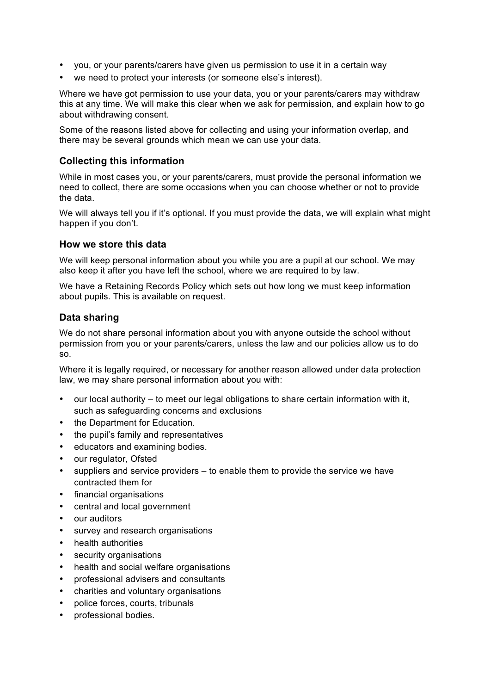- you, or your parents/carers have given us permission to use it in a certain way
- we need to protect your interests (or someone else's interest).

Where we have got permission to use your data, you or your parents/carers may withdraw this at any time. We will make this clear when we ask for permission, and explain how to go about withdrawing consent.

Some of the reasons listed above for collecting and using your information overlap, and there may be several grounds which mean we can use your data.

## **Collecting this information**

While in most cases you, or your parents/carers, must provide the personal information we need to collect, there are some occasions when you can choose whether or not to provide the data.

We will always tell you if it's optional. If you must provide the data, we will explain what might happen if you don't.

#### **How we store this data**

We will keep personal information about you while you are a pupil at our school. We may also keep it after you have left the school, where we are required to by law.

We have a Retaining Records Policy which sets out how long we must keep information about pupils. This is available on request.

#### **Data sharing**

We do not share personal information about you with anyone outside the school without permission from you or your parents/carers, unless the law and our policies allow us to do so.

Where it is legally required, or necessary for another reason allowed under data protection law, we may share personal information about you with:

- our local authority to meet our legal obligations to share certain information with it, such as safeguarding concerns and exclusions
- the Department for Education.
- the pupil's family and representatives
- educators and examining bodies.
- our regulator, Ofsted
- suppliers and service providers  $-$  to enable them to provide the service we have contracted them for
- financial organisations
- central and local government
- our auditors
- survey and research organisations
- health authorities
- security organisations
- health and social welfare organisations
- professional advisers and consultants
- charities and voluntary organisations
- police forces, courts, tribunals
- professional bodies.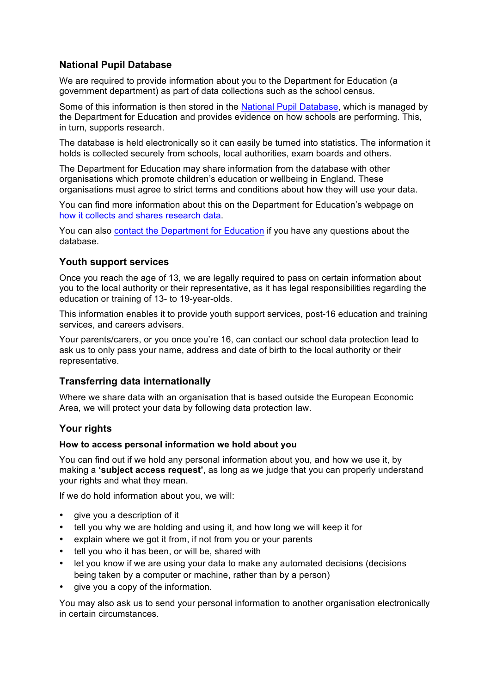# **National Pupil Database**

We are required to provide information about you to the Department for Education (a government department) as part of data collections such as the school census.

Some of this information is then stored in the National Pupil Database, which is managed by the Department for Education and provides evidence on how schools are performing. This, in turn, supports research.

The database is held electronically so it can easily be turned into statistics. The information it holds is collected securely from schools, local authorities, exam boards and others.

The Department for Education may share information from the database with other organisations which promote children's education or wellbeing in England. These organisations must agree to strict terms and conditions about how they will use your data.

You can find more information about this on the Department for Education's webpage on how it collects and shares research data.

You can also contact the Department for Education if you have any questions about the database.

## **Youth support services**

Once you reach the age of 13, we are legally required to pass on certain information about you to the local authority or their representative, as it has legal responsibilities regarding the education or training of 13- to 19-year-olds.

This information enables it to provide youth support services, post-16 education and training services, and careers advisers.

Your parents/carers, or you once you're 16, can contact our school data protection lead to ask us to only pass your name, address and date of birth to the local authority or their representative.

#### **Transferring data internationally**

Where we share data with an organisation that is based outside the European Economic Area, we will protect your data by following data protection law.

# **Your rights**

#### **How to access personal information we hold about you**

You can find out if we hold any personal information about you, and how we use it, by making a **'subject access request'**, as long as we judge that you can properly understand your rights and what they mean.

If we do hold information about you, we will:

- give you a description of it
- tell you why we are holding and using it, and how long we will keep it for
- explain where we got it from, if not from you or your parents
- tell you who it has been, or will be, shared with
- let you know if we are using your data to make any automated decisions (decisions being taken by a computer or machine, rather than by a person)
- give you a copy of the information.

You may also ask us to send your personal information to another organisation electronically in certain circumstances.